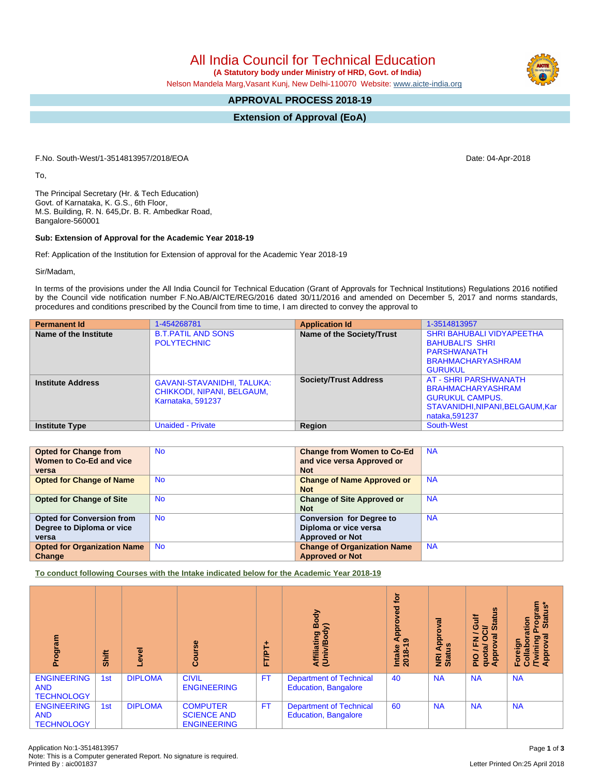All India Council for Technical Education

 **(A Statutory body under Ministry of HRD, Govt. of India)**

Nelson Mandela Marg,Vasant Kunj, New Delhi-110070 Website: [www.aicte-india.org](http://www.aicte-india.org)

## **APPROVAL PROCESS 2018-19**

**Extension of Approval (EoA)**

F.No. South-West/1-3514813957/2018/EOA Date: 04-Apr-2018

To,

The Principal Secretary (Hr. & Tech Education) Govt. of Karnataka, K. G.S., 6th Floor, M.S. Building, R. N. 645,Dr. B. R. Ambedkar Road, Bangalore-560001

## **Sub: Extension of Approval for the Academic Year 2018-19**

Ref: Application of the Institution for Extension of approval for the Academic Year 2018-19

Sir/Madam,

In terms of the provisions under the All India Council for Technical Education (Grant of Approvals for Technical Institutions) Regulations 2016 notified by the Council vide notification number F.No.AB/AICTE/REG/2016 dated 30/11/2016 and amended on December 5, 2017 and norms standards, procedures and conditions prescribed by the Council from time to time, I am directed to convey the approval to

| <b>Permanent Id</b>      | 1-454268781                                                                          | <b>Application Id</b>        | 1-3514813957                                                                                                                          |
|--------------------------|--------------------------------------------------------------------------------------|------------------------------|---------------------------------------------------------------------------------------------------------------------------------------|
| Name of the Institute    | <b>B.T.PATIL AND SONS</b><br><b>POLYTECHNIC</b>                                      | Name of the Society/Trust    | <b>SHRI BAHUBALI VIDYAPEETHA</b><br><b>BAHUBALI'S SHRI</b><br>PARSHWANATH<br><b>BRAHMACHARYASHRAM</b><br><b>GURUKUL</b>               |
| <b>Institute Address</b> | <b>GAVANI-STAVANIDHI, TALUKA:</b><br>CHIKKODI, NIPANI, BELGAUM.<br>Karnataka, 591237 | <b>Society/Trust Address</b> | <b>AT - SHRI PARSHWANATH</b><br><b>BRAHMACHARYASHRAM</b><br><b>GURUKUL CAMPUS.</b><br>STAVANIDHI.NIPANI.BELGAUM.Kar<br>nataka, 591237 |
| <b>Institute Type</b>    | <b>Unaided - Private</b>                                                             | Region                       | South-West                                                                                                                            |

| <b>Opted for Change from</b>       | <b>No</b> | <b>Change from Women to Co-Ed</b>  | <b>NA</b> |
|------------------------------------|-----------|------------------------------------|-----------|
| Women to Co-Ed and vice            |           | and vice versa Approved or         |           |
| versa                              |           | <b>Not</b>                         |           |
| <b>Opted for Change of Name</b>    | <b>No</b> | <b>Change of Name Approved or</b>  | <b>NA</b> |
|                                    |           | <b>Not</b>                         |           |
| <b>Opted for Change of Site</b>    | <b>No</b> | <b>Change of Site Approved or</b>  | <b>NA</b> |
|                                    |           | <b>Not</b>                         |           |
| <b>Opted for Conversion from</b>   | No.       | <b>Conversion for Degree to</b>    | <b>NA</b> |
| Degree to Diploma or vice          |           | Diploma or vice versa              |           |
| versa                              |           | <b>Approved or Not</b>             |           |
| <b>Opted for Organization Name</b> | <b>No</b> | <b>Change of Organization Name</b> | <b>NA</b> |
| Change                             |           | <b>Approved or Not</b>             |           |

**To conduct following Courses with the Intake indicated below for the Academic Year 2018-19**

| Program                                               | Shift | g<br>ڡٛ        | Φ<br>Ü.<br>ō                                                | 广<br>三<br>二 | Body<br>≲<br>Affiliating<br>(Univ/Bod <sup>,</sup>            | <b>b</b><br>yed<br>၀<br>App <sub>o</sub><br>Intake<br>2018-1 | ᢛ<br>Appr<br><b>NRI Ap<br/>Status</b> | <b>Status</b><br>Gulf<br>≃<br>∽<br>ಹ<br>z<br>O<br>щ<br><u>ति</u><br>Appro<br>guo<br>$\frac{1}{2}$ | rogram<br>Status*<br>Stat<br>ation<br>ত্<br>ဥ္<br>Foreigr<br>Collabo<br>Twinir<br>Appr |
|-------------------------------------------------------|-------|----------------|-------------------------------------------------------------|-------------|---------------------------------------------------------------|--------------------------------------------------------------|---------------------------------------|---------------------------------------------------------------------------------------------------|----------------------------------------------------------------------------------------|
| <b>ENGINEERING</b><br><b>AND</b><br><b>TECHNOLOGY</b> | 1st   | <b>DIPLOMA</b> | <b>CIVIL</b><br><b>ENGINEERING</b>                          | <b>FT</b>   | <b>Department of Technical</b><br><b>Education, Bangalore</b> | 40                                                           | <b>NA</b>                             | <b>NA</b>                                                                                         | <b>NA</b>                                                                              |
| <b>ENGINEERING</b><br><b>AND</b><br><b>TECHNOLOGY</b> | 1st   | <b>DIPLOMA</b> | <b>COMPUTER</b><br><b>SCIENCE AND</b><br><b>ENGINEERING</b> | <b>FT</b>   | <b>Department of Technical</b><br><b>Education, Bangalore</b> | 60                                                           | <b>NA</b>                             | <b>NA</b>                                                                                         | <b>NA</b>                                                                              |

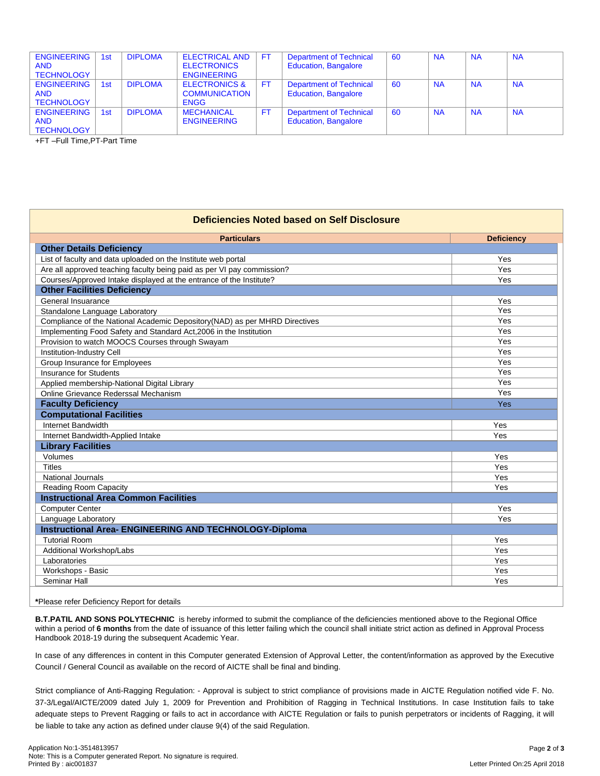| <b>ENGINEERING</b><br><b>AND</b><br><b>TECHNOLOGY</b> | 1st | <b>DIPLOMA</b> | <b>ELECTRICAL AND</b><br><b>ELECTRONICS</b><br><b>ENGINEERING</b> | <b>FT</b> | <b>Department of Technical</b><br><b>Education, Bangalore</b> | 60 | <b>NA</b> | <b>NA</b> | <b>NA</b> |
|-------------------------------------------------------|-----|----------------|-------------------------------------------------------------------|-----------|---------------------------------------------------------------|----|-----------|-----------|-----------|
| <b>ENGINEERING</b><br><b>AND</b><br><b>TECHNOLOGY</b> | 1st | <b>DIPLOMA</b> | <b>ELECTRONICS &amp;</b><br><b>COMMUNICATION</b><br><b>ENGG</b>   | FT        | <b>Department of Technical</b><br><b>Education, Bangalore</b> | 60 | <b>NA</b> | <b>NA</b> | <b>NA</b> |
| <b>ENGINEERING</b><br><b>AND</b><br><b>TECHNOLOGY</b> | 1st | <b>DIPLOMA</b> | <b>MECHANICAL</b><br><b>ENGINEERING</b>                           | <b>FT</b> | <b>Department of Technical</b><br>Education, Bangalore        | 60 | <b>NA</b> | <b>NA</b> | <b>NA</b> |

+FT –Full Time,PT-Part Time

| Deficiencies Noted based on Self Disclosure                                |                   |  |  |  |  |
|----------------------------------------------------------------------------|-------------------|--|--|--|--|
| <b>Particulars</b>                                                         | <b>Deficiency</b> |  |  |  |  |
| <b>Other Details Deficiency</b>                                            |                   |  |  |  |  |
| List of faculty and data uploaded on the Institute web portal              | Yes               |  |  |  |  |
| Are all approved teaching faculty being paid as per VI pay commission?     | Yes               |  |  |  |  |
| Courses/Approved Intake displayed at the entrance of the Institute?        | Yes               |  |  |  |  |
| <b>Other Facilities Deficiency</b>                                         |                   |  |  |  |  |
| General Insuarance                                                         | Yes               |  |  |  |  |
| Standalone Language Laboratory                                             | Yes               |  |  |  |  |
| Compliance of the National Academic Depository(NAD) as per MHRD Directives | Yes               |  |  |  |  |
| Implementing Food Safety and Standard Act, 2006 in the Institution         | Yes               |  |  |  |  |
| Provision to watch MOOCS Courses through Swayam                            | Yes               |  |  |  |  |
| Institution-Industry Cell                                                  | Yes               |  |  |  |  |
| Group Insurance for Employees                                              | Yes               |  |  |  |  |
| <b>Insurance for Students</b>                                              | Yes               |  |  |  |  |
| Applied membership-National Digital Library                                | Yes               |  |  |  |  |
| Online Grievance Rederssal Mechanism                                       | Yes               |  |  |  |  |
| <b>Faculty Deficiency</b>                                                  | Yes               |  |  |  |  |
| <b>Computational Facilities</b>                                            |                   |  |  |  |  |
| Internet Bandwidth                                                         | Yes               |  |  |  |  |
| Internet Bandwidth-Applied Intake                                          | Yes               |  |  |  |  |
| <b>Library Facilities</b>                                                  |                   |  |  |  |  |
| Volumes                                                                    | Yes               |  |  |  |  |
| <b>Titles</b>                                                              | Yes               |  |  |  |  |
| <b>National Journals</b>                                                   | Yes               |  |  |  |  |
| Reading Room Capacity                                                      | Yes               |  |  |  |  |
| <b>Instructional Area Common Facilities</b>                                |                   |  |  |  |  |
| <b>Computer Center</b>                                                     | Yes               |  |  |  |  |
| Language Laboratory                                                        | Yes               |  |  |  |  |
| <b>Instructional Area- ENGINEERING AND TECHNOLOGY-Diploma</b>              |                   |  |  |  |  |
| <b>Tutorial Room</b>                                                       | Yes               |  |  |  |  |
| Additional Workshop/Labs                                                   | Yes               |  |  |  |  |
| Laboratories                                                               | Yes               |  |  |  |  |
| Workshops - Basic                                                          | Yes               |  |  |  |  |
| Seminar Hall                                                               | Yes               |  |  |  |  |

**\***Please refer Deficiency Report for details

**B.T.PATIL AND SONS POLYTECHNIC** is hereby informed to submit the compliance of the deficiencies mentioned above to the Regional Office within a period of **6 months** from the date of issuance of this letter failing which the council shall initiate strict action as defined in Approval Process Handbook 2018-19 during the subsequent Academic Year.

In case of any differences in content in this Computer generated Extension of Approval Letter, the content/information as approved by the Executive Council / General Council as available on the record of AICTE shall be final and binding.

Strict compliance of Anti-Ragging Regulation: - Approval is subject to strict compliance of provisions made in AICTE Regulation notified vide F. No. 37-3/Legal/AICTE/2009 dated July 1, 2009 for Prevention and Prohibition of Ragging in Technical Institutions. In case Institution fails to take adequate steps to Prevent Ragging or fails to act in accordance with AICTE Regulation or fails to punish perpetrators or incidents of Ragging, it will be liable to take any action as defined under clause 9(4) of the said Regulation.